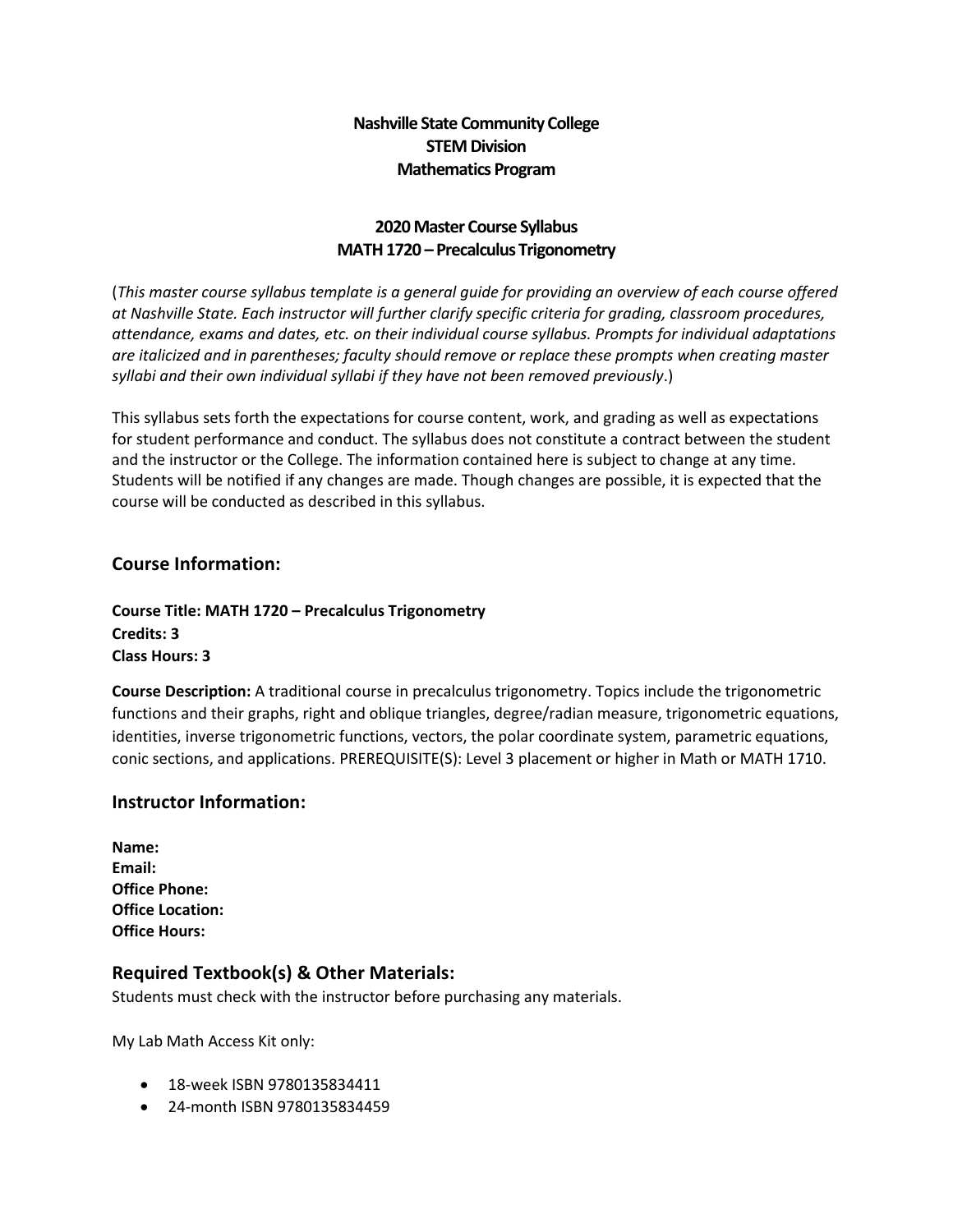### **Nashville State Community College STEM Division Mathematics Program**

#### **2020 Master Course Syllabus MATH 1720 – Precalculus Trigonometry**

(*This master course syllabus template is a general guide for providing an overview of each course offered at Nashville State. Each instructor will further clarify specific criteria for grading, classroom procedures, attendance, exams and dates, etc. on their individual course syllabus. Prompts for individual adaptations are italicized and in parentheses; faculty should remove or replace these prompts when creating master syllabi and their own individual syllabi if they have not been removed previously*.)

This syllabus sets forth the expectations for course content, work, and grading as well as expectations for student performance and conduct. The syllabus does not constitute a contract between the student and the instructor or the College. The information contained here is subject to change at any time. Students will be notified if any changes are made. Though changes are possible, it is expected that the course will be conducted as described in this syllabus.

#### **Course Information:**

**Course Title: MATH 1720 – Precalculus Trigonometry Credits: 3 Class Hours: 3** 

**Course Description:** A traditional course in precalculus trigonometry. Topics include the trigonometric functions and their graphs, right and oblique triangles, degree/radian measure, trigonometric equations, identities, inverse trigonometric functions, vectors, the polar coordinate system, parametric equations, conic sections, and applications. PREREQUISITE(S): Level 3 placement or higher in Math or MATH 1710.

#### **Instructor Information:**

#### **Required Textbook(s) & Other Materials:**

Students must check with the instructor before purchasing any materials.

My Lab Math Access Kit only:

- 18-week ISBN 9780135834411
- 24-month ISBN 9780135834459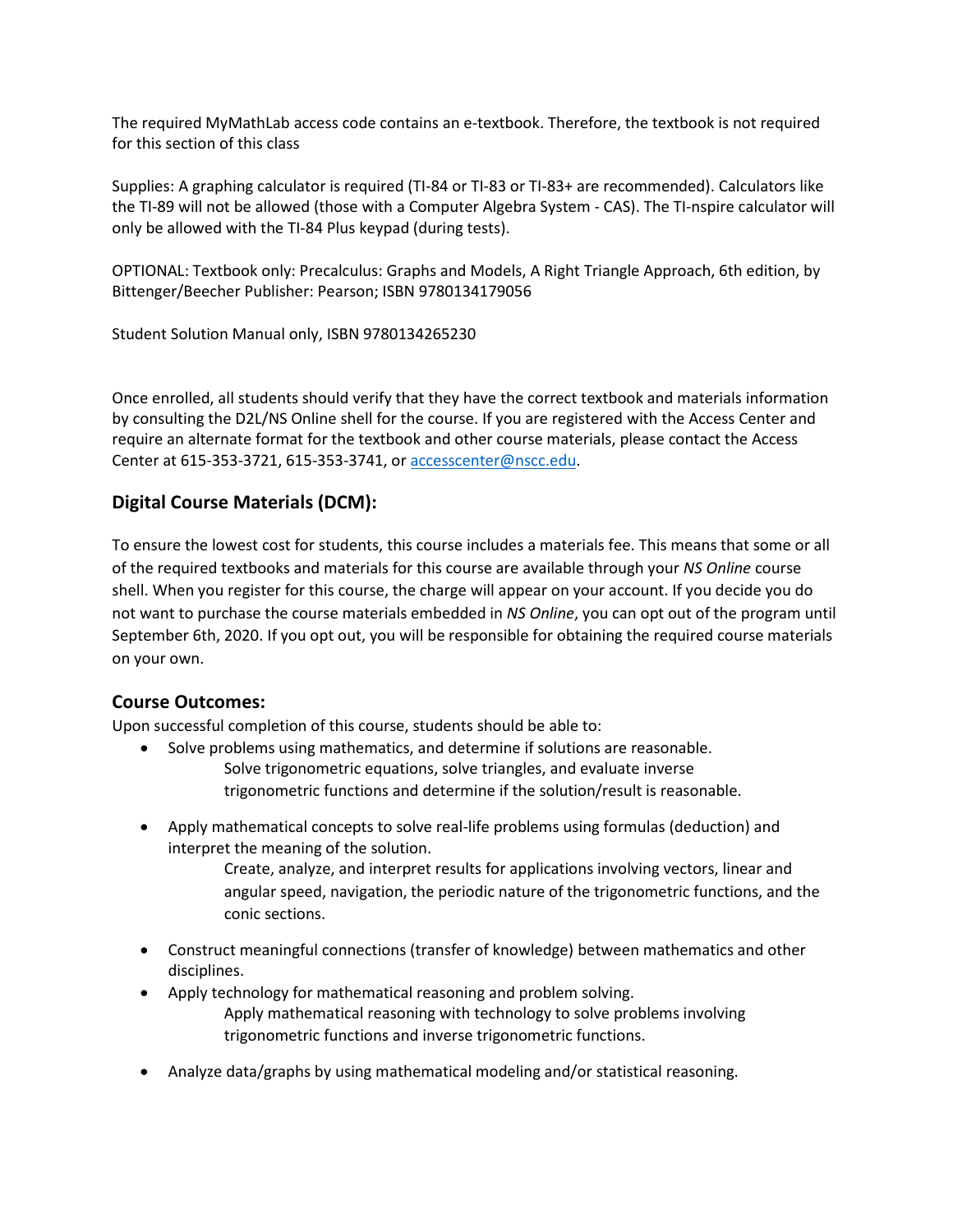The required MyMathLab access code contains an e-textbook. Therefore, the textbook is not required for this section of this class

Supplies: A graphing calculator is required (TI-84 or TI-83 or TI-83+ are recommended). Calculators like the TI-89 will not be allowed (those with a Computer Algebra System - CAS). The TI-nspire calculator will only be allowed with the TI-84 Plus keypad (during tests).

OPTIONAL: Textbook only: Precalculus: Graphs and Models, A Right Triangle Approach, 6th edition, by Bittenger/Beecher Publisher: Pearson; ISBN 9780134179056

Student Solution Manual only, ISBN 9780134265230

Once enrolled, all students should verify that they have the correct textbook and materials information by consulting the D2L/NS Online shell for the course. If you are registered with the Access Center and require an alternate format for the textbook and other course materials, please contact the Access Center at 615-353-3721, 615-353-3741, o[r accesscenter@nscc.edu.](mailto:accesscenter@nscc.edu)

#### **Digital Course Materials (DCM):**

To ensure the lowest cost for students, this course includes a materials fee. This means that some or all of the required textbooks and materials for this course are available through your *NS Online* course shell. When you register for this course, the charge will appear on your account. If you decide you do not want to purchase the course materials embedded in *NS Online*, you can opt out of the program until September 6th, 2020. If you opt out, you will be responsible for obtaining the required course materials on your own.

#### **Course Outcomes:**

Upon successful completion of this course, students should be able to:

- Solve problems using mathematics, and determine if solutions are reasonable. Solve trigonometric equations, solve triangles, and evaluate inverse trigonometric functions and determine if the solution/result is reasonable.
- Apply mathematical concepts to solve real-life problems using formulas (deduction) and interpret the meaning of the solution.
	- Create, analyze, and interpret results for applications involving vectors, linear and angular speed, navigation, the periodic nature of the trigonometric functions, and the conic sections.
- Construct meaningful connections (transfer of knowledge) between mathematics and other disciplines.
- Apply technology for mathematical reasoning and problem solving. Apply mathematical reasoning with technology to solve problems involving trigonometric functions and inverse trigonometric functions.
- Analyze data/graphs by using mathematical modeling and/or statistical reasoning.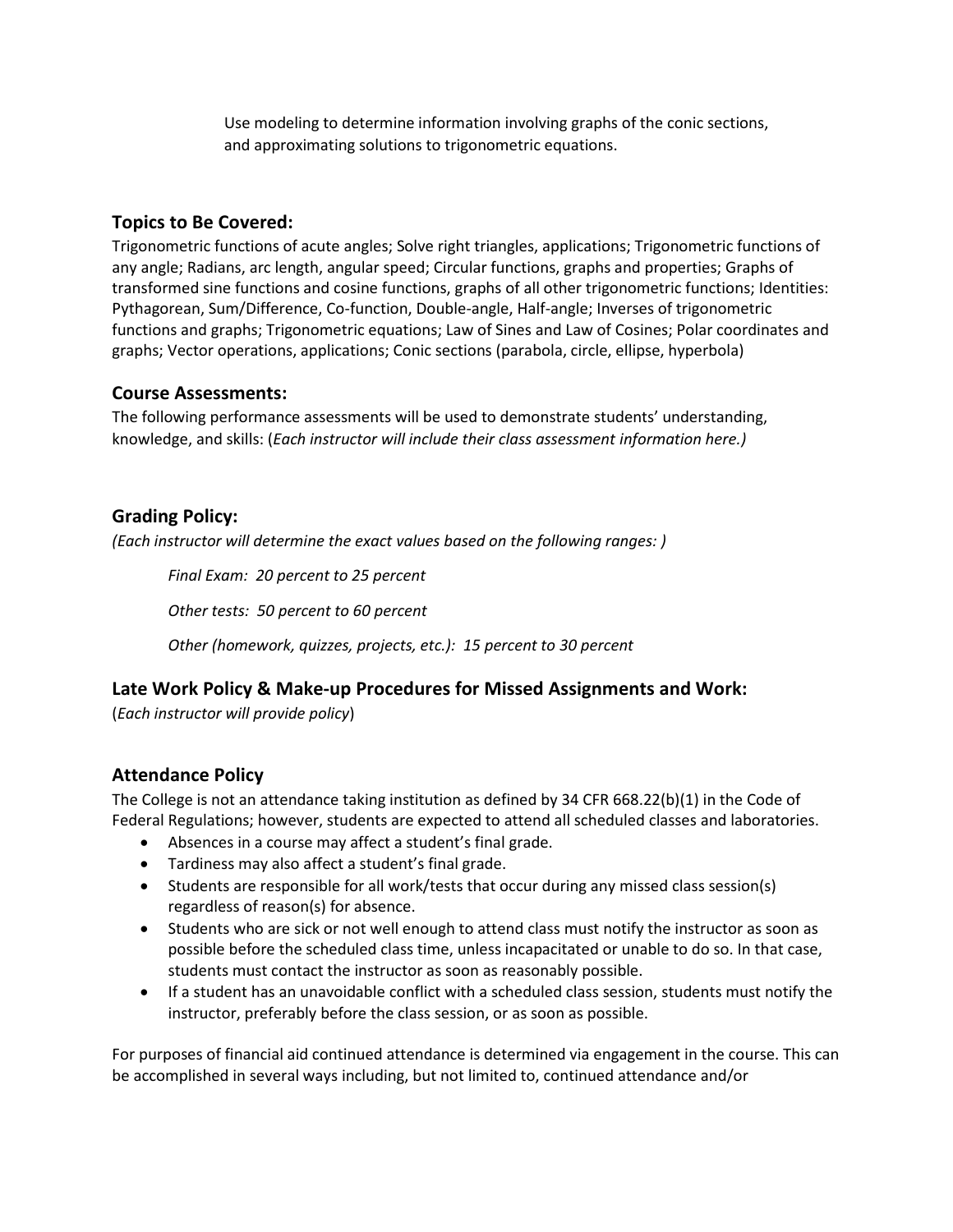Use modeling to determine information involving graphs of the conic sections, and approximating solutions to trigonometric equations.

### **Topics to Be Covered:**

Trigonometric functions of acute angles; Solve right triangles, applications; Trigonometric functions of any angle; Radians, arc length, angular speed; Circular functions, graphs and properties; Graphs of transformed sine functions and cosine functions, graphs of all other trigonometric functions; Identities: Pythagorean, Sum/Difference, Co-function, Double-angle, Half-angle; Inverses of trigonometric functions and graphs; Trigonometric equations; Law of Sines and Law of Cosines; Polar coordinates and graphs; Vector operations, applications; Conic sections (parabola, circle, ellipse, hyperbola)

#### **Course Assessments:**

The following performance assessments will be used to demonstrate students' understanding, knowledge, and skills: (*Each instructor will include their class assessment information here.)*

# **Grading Policy:**

*(Each instructor will determine the exact values based on the following ranges: )*

*Final Exam: 20 percent to 25 percent*

*Other tests: 50 percent to 60 percent*

*Other (homework, quizzes, projects, etc.): 15 percent to 30 percent*

### **Late Work Policy & Make-up Procedures for Missed Assignments and Work:**

(*Each instructor will provide policy*)

# **Attendance Policy**

The College is not an attendance taking institution as defined by 34 CFR 668.22(b)(1) in the Code of Federal Regulations; however, students are expected to attend all scheduled classes and laboratories.

- Absences in a course may affect a student's final grade.
- Tardiness may also affect a student's final grade.
- Students are responsible for all work/tests that occur during any missed class session(s) regardless of reason(s) for absence.
- Students who are sick or not well enough to attend class must notify the instructor as soon as possible before the scheduled class time, unless incapacitated or unable to do so. In that case, students must contact the instructor as soon as reasonably possible.
- If a student has an unavoidable conflict with a scheduled class session, students must notify the instructor, preferably before the class session, or as soon as possible.

For purposes of financial aid continued attendance is determined via engagement in the course. This can be accomplished in several ways including, but not limited to, continued attendance and/or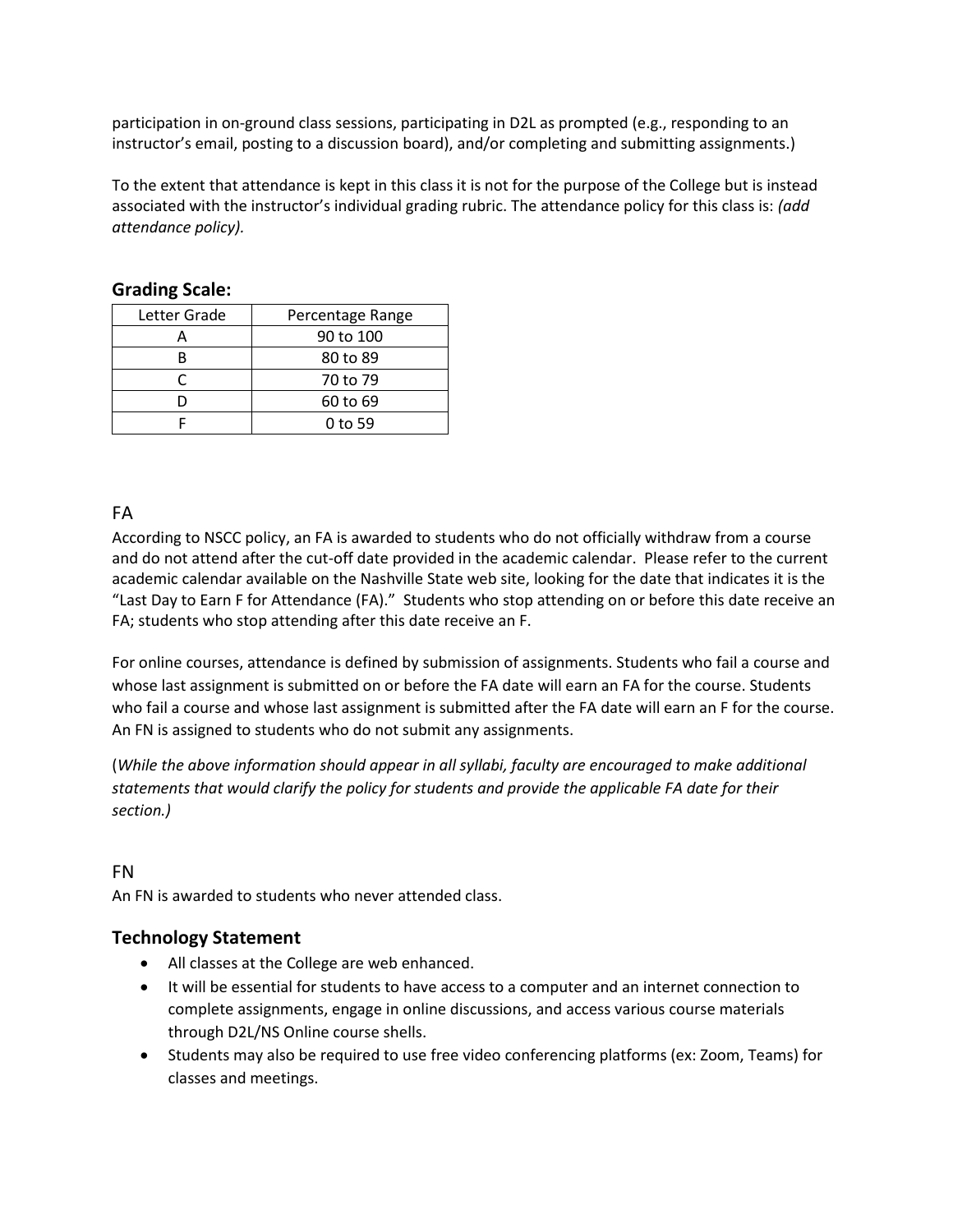participation in on-ground class sessions, participating in D2L as prompted (e.g., responding to an instructor's email, posting to a discussion board), and/or completing and submitting assignments.)

To the extent that attendance is kept in this class it is not for the purpose of the College but is instead associated with the instructor's individual grading rubric. The attendance policy for this class is: *(add attendance policy).*

| Letter Grade | Percentage Range |
|--------------|------------------|
|              | 90 to 100        |
|              | 80 to 89         |
| ◠            | 70 to 79         |
|              | 60 to 69         |
|              | 0 to 59          |

## **Grading Scale:**

# FA

According to NSCC policy, an FA is awarded to students who do not officially withdraw from a course and do not attend after the cut-off date provided in the academic calendar. Please refer to the current academic calendar available on the Nashville State web site, looking for the date that indicates it is the "Last Day to Earn F for Attendance (FA)." Students who stop attending on or before this date receive an FA; students who stop attending after this date receive an F.

For online courses, attendance is defined by submission of assignments. Students who fail a course and whose last assignment is submitted on or before the FA date will earn an FA for the course. Students who fail a course and whose last assignment is submitted after the FA date will earn an F for the course. An FN is assigned to students who do not submit any assignments.

(*While the above information should appear in all syllabi, faculty are encouraged to make additional statements that would clarify the policy for students and provide the applicable FA date for their section.)*

### FN

An FN is awarded to students who never attended class.

### **Technology Statement**

- All classes at the College are web enhanced.
- It will be essential for students to have access to a computer and an internet connection to complete assignments, engage in online discussions, and access various course materials through D2L/NS Online course shells.
- Students may also be required to use free video conferencing platforms (ex: Zoom, Teams) for classes and meetings.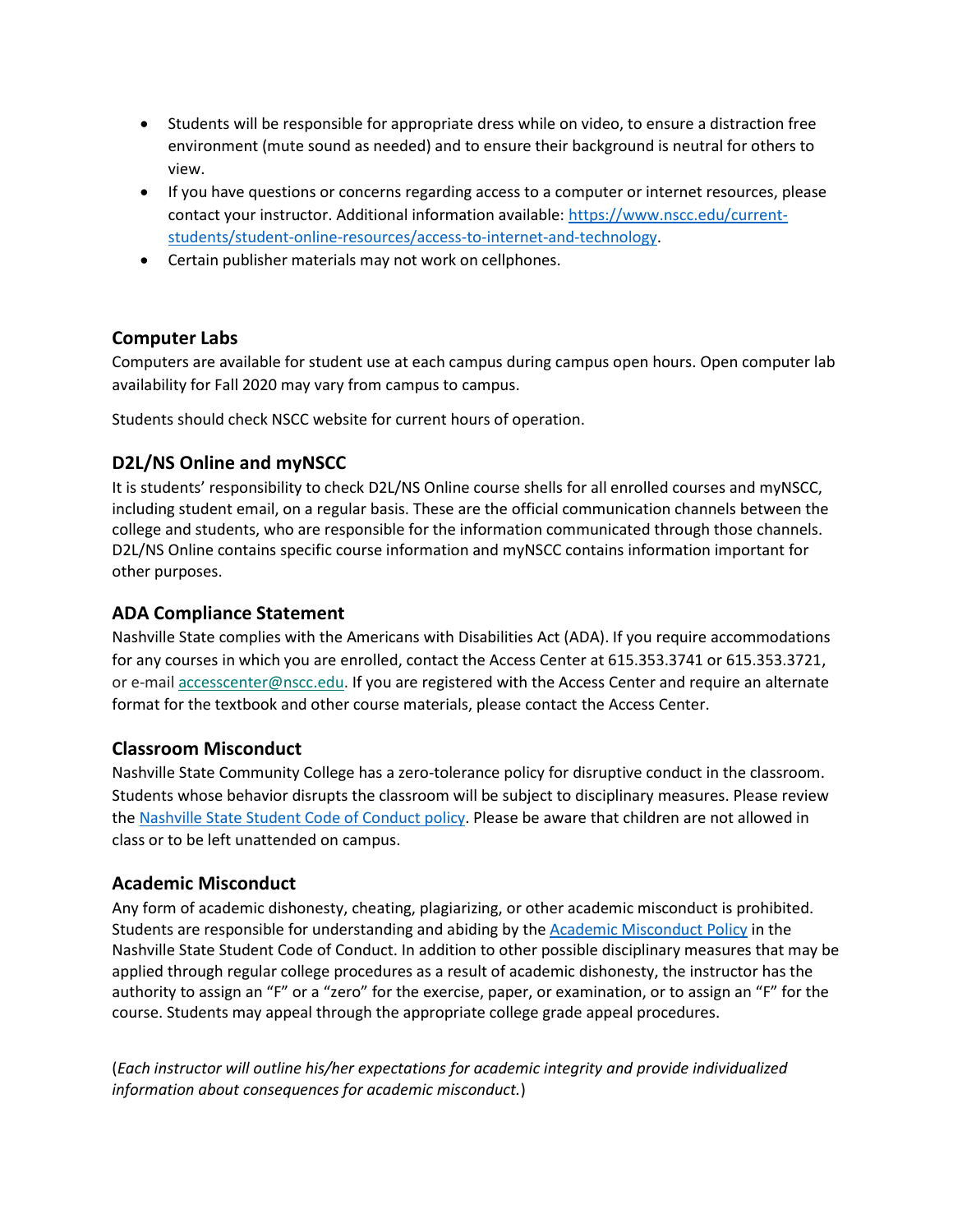- Students will be responsible for appropriate dress while on video, to ensure a distraction free environment (mute sound as needed) and to ensure their background is neutral for others to view.
- If you have questions or concerns regarding access to a computer or internet resources, please contact your instructor. Additional information available: [https://www.nscc.edu/current](https://www.nscc.edu/current-students/student-online-resources/access-to-internet-and-technology)[students/student-online-resources/access-to-internet-and-technology.](https://www.nscc.edu/current-students/student-online-resources/access-to-internet-and-technology)
- Certain publisher materials may not work on cellphones.

#### **Computer Labs**

Computers are available for student use at each campus during campus open hours. Open computer lab availability for Fall 2020 may vary from campus to campus.

Students should check NSCC website for current hours of operation.

### **D2L/NS Online and myNSCC**

It is students' responsibility to check D2L/NS Online course shells for all enrolled courses and myNSCC, including student email, on a regular basis. These are the official communication channels between the college and students, who are responsible for the information communicated through those channels. D2L/NS Online contains specific course information and myNSCC contains information important for other purposes.

#### **ADA Compliance Statement**

Nashville State complies with the Americans with Disabilities Act (ADA). If you require accommodations for any courses in which you are enrolled, contact the Access Center at 615.353.3741 or 615.353.3721, or e-mail [accesscenter@nscc.edu.](mailto:%3Caccesscenter@nscc.edu%3E) If you are registered with the Access Center and require an alternate format for the textbook and other course materials, please contact the Access Center.

#### **Classroom Misconduct**

Nashville State Community College has a zero-tolerance policy for disruptive conduct in the classroom. Students whose behavior disrupts the classroom will be subject to disciplinary measures. Please review th[e Nashville State Student Code of Conduct policy.](https://s3.amazonaws.com/nscc.edu/PDFs/dean-students/Student_Code_of_Conduct_Policy.pdf) Please be aware that children are not allowed in class or to be left unattended on campus.

#### **Academic Misconduct**

Any form of academic dishonesty, cheating, plagiarizing, or other academic misconduct is prohibited. Students are responsible for understanding and abiding by th[e Academic Misconduct Policy](https://s3.amazonaws.com/nscc.edu/PDFs/dean-students/Student_Code_of_Conduct_Policy.pdf) in the Nashville State Student Code of Conduct. In addition to other possible disciplinary measures that may be applied through regular college procedures as a result of academic dishonesty, the instructor has the authority to assign an "F" or a "zero" for the exercise, paper, or examination, or to assign an "F" for the course. Students may appeal through the appropriate college grade appeal procedures.

(*Each instructor will outline his/her expectations for academic integrity and provide individualized information about consequences for academic misconduct.*)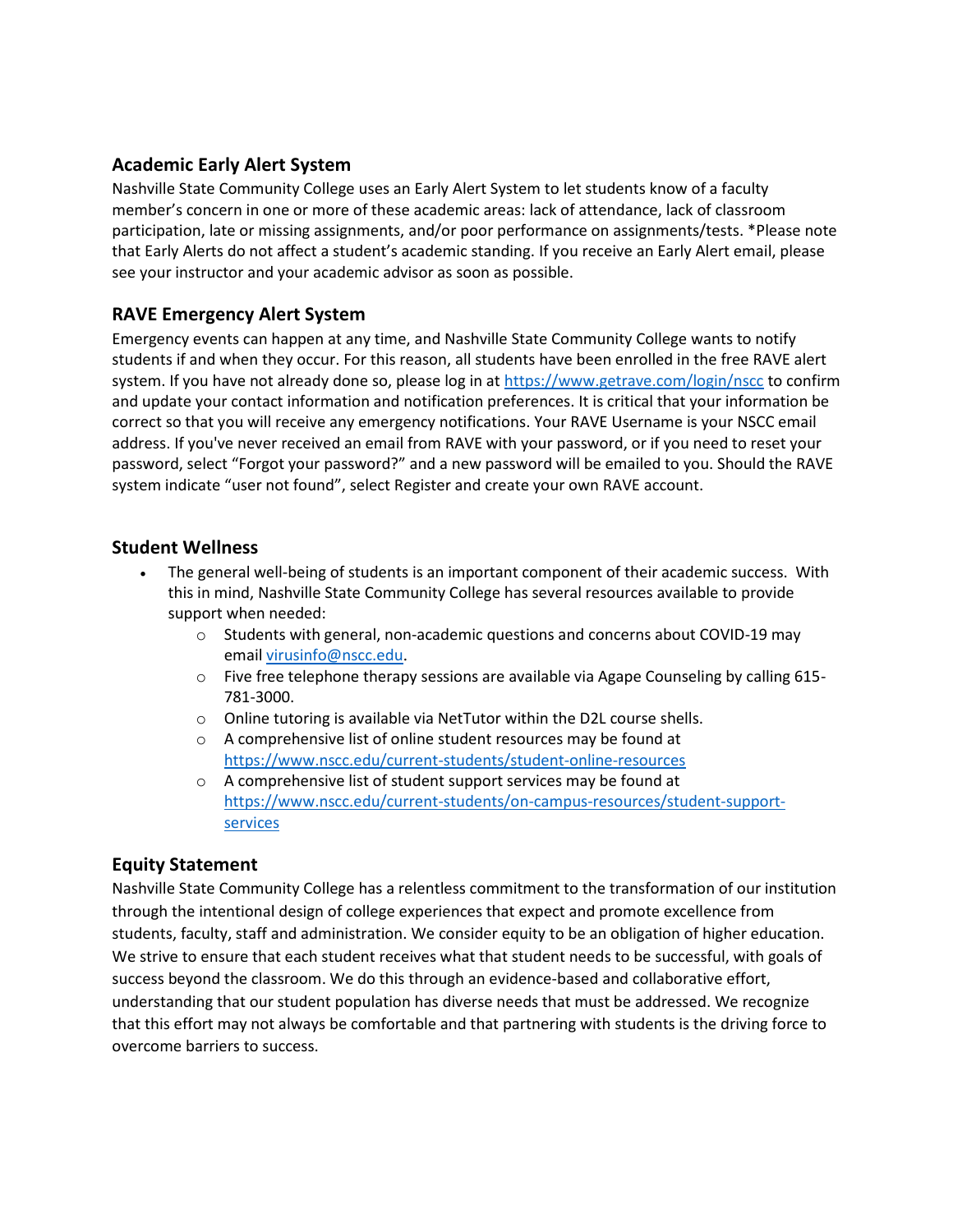## **Academic Early Alert System**

Nashville State Community College uses an Early Alert System to let students know of a faculty member's concern in one or more of these academic areas: lack of attendance, lack of classroom participation, late or missing assignments, and/or poor performance on assignments/tests. \*Please note that Early Alerts do not affect a student's academic standing. If you receive an Early Alert email, please see your instructor and your academic advisor as soon as possible.

### **RAVE Emergency Alert System**

Emergency events can happen at any time, and Nashville State Community College wants to notify students if and when they occur. For this reason, all students have been enrolled in the free RAVE alert system. If you have not already done so, please log in at<https://www.getrave.com/login/nscc> to confirm and update your contact information and notification preferences. It is critical that your information be correct so that you will receive any emergency notifications. Your RAVE Username is your NSCC email address. If you've never received an email from RAVE with your password, or if you need to reset your password, select "Forgot your password?" and a new password will be emailed to you. Should the RAVE system indicate "user not found", select Register and create your own RAVE account.

### **Student Wellness**

- The general well-being of students is an important component of their academic success. With this in mind, Nashville State Community College has several resources available to provide support when needed:
	- $\circ$  Students with general, non-academic questions and concerns about COVID-19 may email [virusinfo@nscc.edu](mailto:virusinfo@nscc.edu).
	- $\circ$  Five free telephone therapy sessions are available via Agape Counseling by calling 615-781-3000.
	- o Online tutoring is available via NetTutor within the D2L course shells.
	- o A comprehensive list of online student resources may be found at <https://www.nscc.edu/current-students/student-online-resources>
	- o A comprehensive list of student support services may be found at [https://www.nscc.edu/current-students/on-campus-resources/student-support](https://www.nscc.edu/current-students/on-campus-resources/student-support-services)[services](https://www.nscc.edu/current-students/on-campus-resources/student-support-services)

### **Equity Statement**

Nashville State Community College has a relentless commitment to the transformation of our institution through the intentional design of college experiences that expect and promote excellence from students, faculty, staff and administration. We consider equity to be an obligation of higher education. We strive to ensure that each student receives what that student needs to be successful, with goals of success beyond the classroom. We do this through an evidence-based and collaborative effort, understanding that our student population has diverse needs that must be addressed. We recognize that this effort may not always be comfortable and that partnering with students is the driving force to overcome barriers to success.